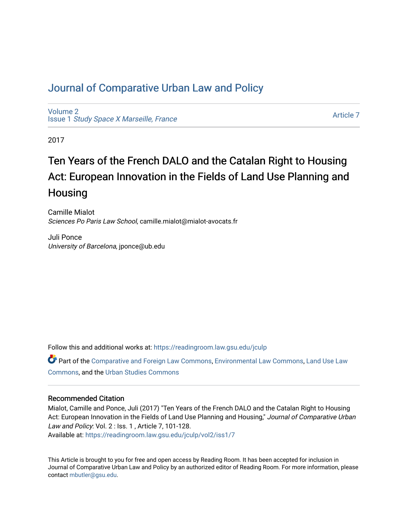## [Journal of Comparative Urban Law and Policy](https://readingroom.law.gsu.edu/jculp)

[Volume 2](https://readingroom.law.gsu.edu/jculp/vol2) Issue 1 [Study Space X Marseille, France](https://readingroom.law.gsu.edu/jculp/vol2/iss1)

[Article 7](https://readingroom.law.gsu.edu/jculp/vol2/iss1/7) 

2017

# Ten Years of the French DALO and the Catalan Right to Housing Act: European Innovation in the Fields of Land Use Planning and Housing

Camille Mialot Sciences Po Paris Law School, camille.mialot@mialot-avocats.fr

Juli Ponce University of Barcelona, jponce@ub.edu

Follow this and additional works at: [https://readingroom.law.gsu.edu/jculp](https://readingroom.law.gsu.edu/jculp?utm_source=readingroom.law.gsu.edu%2Fjculp%2Fvol2%2Fiss1%2F7&utm_medium=PDF&utm_campaign=PDFCoverPages) 

Part of the [Comparative and Foreign Law Commons,](http://network.bepress.com/hgg/discipline/836?utm_source=readingroom.law.gsu.edu%2Fjculp%2Fvol2%2Fiss1%2F7&utm_medium=PDF&utm_campaign=PDFCoverPages) [Environmental Law Commons](http://network.bepress.com/hgg/discipline/599?utm_source=readingroom.law.gsu.edu%2Fjculp%2Fvol2%2Fiss1%2F7&utm_medium=PDF&utm_campaign=PDFCoverPages), [Land Use Law](http://network.bepress.com/hgg/discipline/852?utm_source=readingroom.law.gsu.edu%2Fjculp%2Fvol2%2Fiss1%2F7&utm_medium=PDF&utm_campaign=PDFCoverPages)  [Commons](http://network.bepress.com/hgg/discipline/852?utm_source=readingroom.law.gsu.edu%2Fjculp%2Fvol2%2Fiss1%2F7&utm_medium=PDF&utm_campaign=PDFCoverPages), and the [Urban Studies Commons](http://network.bepress.com/hgg/discipline/402?utm_source=readingroom.law.gsu.edu%2Fjculp%2Fvol2%2Fiss1%2F7&utm_medium=PDF&utm_campaign=PDFCoverPages) 

#### Recommended Citation

Mialot, Camille and Ponce, Juli (2017) "Ten Years of the French DALO and the Catalan Right to Housing Act: European Innovation in the Fields of Land Use Planning and Housing," Journal of Comparative Urban Law and Policy: Vol. 2 : Iss. 1 , Article 7, 101-128.

Available at: [https://readingroom.law.gsu.edu/jculp/vol2/iss1/7](https://readingroom.law.gsu.edu/jculp/vol2/iss1/7?utm_source=readingroom.law.gsu.edu%2Fjculp%2Fvol2%2Fiss1%2F7&utm_medium=PDF&utm_campaign=PDFCoverPages) 

This Article is brought to you for free and open access by Reading Room. It has been accepted for inclusion in Journal of Comparative Urban Law and Policy by an authorized editor of Reading Room. For more information, please contact [mbutler@gsu.edu](mailto:mbutler@gsu.edu).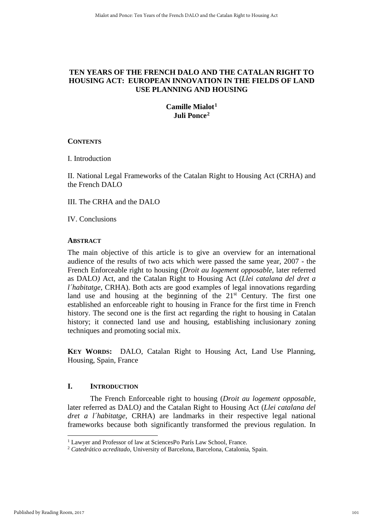## **TEN YEARS OF THE FRENCH DALO AND THE CATALAN RIGHT TO HOUSING ACT: EUROPEAN INNOVATION IN THE FIELDS OF LAND USE PLANNING AND HOUSING**

## **Camille Mialot[1](#page-1-0) Juli Ponce[2](#page-1-1)**

## **CONTENTS**

I. Introduction

II. National Legal Frameworks of the Catalan Right to Housing Act (CRHA) and the French DALO

III. The CRHA and the DALO

IV. Conclusions

## **ABSTRACT**

The main objective of this article is to give an overview for an international audience of the results of two acts which were passed the same year, 2007 - the French Enforceable right to housing (*Droit au logement opposable,* later referred as DALO*)* Act, and the Catalan Right to Housing Act (*Llei catalana del dret a l'habitatge, CRHA)*. Both acts are good examples of legal innovations regarding land use and housing at the beginning of the  $21<sup>st</sup>$  Century. The first one established an enforceable right to housing in France for the first time in French history. The second one is the first act regarding the right to housing in Catalan history; it connected land use and housing, establishing inclusionary zoning techniques and promoting social mix.

**KEY WORDS:** DALO, Catalan Right to Housing Act, Land Use Planning, Housing, Spain, France

## **I. INTRODUCTION**

The French Enforceable right to housing (*Droit au logement opposable*, later referred as DALO*)* and the Catalan Right to Housing Act (*Llei catalana del dret a l´habitatge,* CRHA) are landmarks in their respective legal national frameworks because both significantly transformed the previous regulation. In

<span id="page-1-0"></span><sup>&</sup>lt;sup>1</sup> Lawyer and Professor of law at SciencesPo París Law School, France.

<span id="page-1-1"></span><sup>2</sup> *Catedrático acreditado,* University of Barcelona, Barcelona, Catalonia, Spain.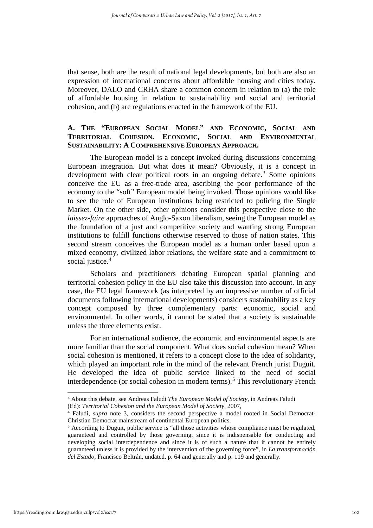that sense, both are the result of national legal developments, but both are also an expression of international concerns about affordable housing and cities today. Moreover, DALO and CRHA share a common concern in relation to (a) the role of affordable housing in relation to sustainability and social and territorial cohesion, and (b) are regulations enacted in the framework of the EU.

## **A. THE "EUROPEAN SOCIAL MODEL" AND ECONOMIC, SOCIAL AND TERRITORIAL COHESION. ECONOMIC, SOCIAL AND ENVIRONMENTAL SUSTAINABILITY: A COMPREHENSIVE EUROPEAN APPROACH.**

The European model is a concept invoked during discussions concerning European integration. But what does it mean? Obviously, it is a concept in development with clear political roots in an ongoing debate. [3](#page-2-0) Some opinions conceive the EU as a free-trade area, ascribing the poor performance of the economy to the "soft" European model being invoked. Those opinions would like to see the role of European institutions being restricted to policing the Single Market. On the other side, other opinions consider this perspective close to the *laissez-faire* approaches of Anglo-Saxon liberalism, seeing the European model as the foundation of a just and competitive society and wanting strong European institutions to fulfill functions otherwise reserved to those of nation states. This second stream conceives the European model as a human order based upon a mixed economy, civilized labor relations, the welfare state and a commitment to social justice. [4](#page-2-1)

Scholars and practitioners debating European spatial planning and territorial cohesion policy in the EU also take this discussion into account. In any case, the EU legal framework (as interpreted by an impressive number of official documents following international developments) considers sustainability as a key concept composed by three complementary parts: economic, social and environmental. In other words, it cannot be stated that a society is sustainable unless the three elements exist.

For an international audience, the economic and environmental aspects are more familiar than the social component. What does social cohesion mean? When social cohesion is mentioned, it refers to a concept close to the idea of solidarity, which played an important role in the mind of the relevant French jurist Duguit. He developed the idea of public service linked to the need of social interdependence (or social cohesion in modern terms). [5](#page-2-2) This revolutionary French

<span id="page-2-0"></span><sup>3</sup> About this debate, see Andreas Faludi *The European Model of Society*, in Andreas Faludi (Ed): *Territorial Cohesion and the European Model of Society*, 2007,

<span id="page-2-1"></span><sup>4</sup> Faludi, *supra* note 3, considers the second perspective a model rooted in Social Democrat-Christian Democrat mainstream of continental European politics.

<span id="page-2-2"></span><sup>5</sup> According to Duguit, public service is "all those activities whose compliance must be regulated, guaranteed and controlled by those governing, since it is indispensable for conducting and developing social interdependence and since it is of such a nature that it cannot be entirely guaranteed unless it is provided by the intervention of the governing force", in *La transformación del Estado*, Francisco Beltrán, undated, p. 64 and generally and p. 119 and generally.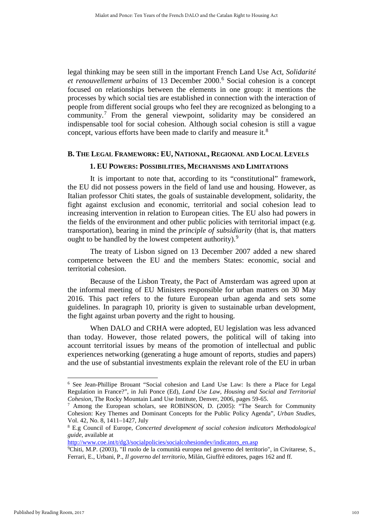legal thinking may be seen still in the important French Land Use Act, *Solidarité et renouvellement urbains* of 13 December 2000. [6](#page-3-0) Social cohesion is a concept focused on relationships between the elements in one group: it mentions the processes by which social ties are established in connection with the interaction of people from different social groups who feel they are recognized as belonging to a community.[7](#page-3-1) From the general viewpoint, solidarity may be considered an indispensable tool for social cohesion. Although social cohesion is still a vague concept, various efforts have been made to clarify and measure it.<sup>[8](#page-3-2)</sup>

#### **B. THE LEGAL FRAMEWORK: EU, NATIONAL, REGIONAL AND LOCAL LEVELS**

#### **1. EU POWERS: POSSIBILITIES, MECHANISMS AND LIMITATIONS**

It is important to note that, according to its "constitutional" framework, the EU did not possess powers in the field of land use and housing. However, as Italian professor Chiti states, the goals of sustainable development, solidarity, the fight against exclusion and economic, territorial and social cohesion lead to increasing intervention in relation to European cities. The EU also had powers in the fields of the environment and other public policies with territorial impact (e.g. transportation), bearing in mind the *principle of subsidiarity* (that is, that matters ought to be handled by the lowest competent authority).<sup>[9](#page-3-3)</sup>

The treaty of Lisbon signed on 13 December 2007 added a new shared competence between the EU and the members States: economic, social and territorial cohesion.

Because of the Lisbon Treaty, the Pact of Amsterdam was agreed upon at the informal meeting of EU Ministers responsible for urban matters on 30 May 2016. This pact refers to the future European urban agenda and sets some guidelines. In paragraph 10, priority is given to sustainable urban development, the fight against urban poverty and the right to housing.

When DALO and CRHA were adopted, EU legislation was less advanced than today. However, those related powers, the political will of taking into account territorial issues by means of the promotion of intellectual and public experiences networking (generating a huge amount of reports, studies and papers) and the use of substantial investments explain the relevant role of the EU in urban

http://www.coe.int/t/dg3/socialpolicies/socialcohesiondev/indicators\_en.asp

<span id="page-3-0"></span><sup>6</sup> See Jean-Phillipe Brouant "Social cohesion and Land Use Law: Is there a Place for Legal Regulation in France?", in Juli Ponce (Ed), *Land Use Law, Housing and Social and Territorial Cohesion*, The Rocky Mountain Land Use Institute, Denver, 2006, pages 59-65.

<span id="page-3-1"></span><sup>7</sup> Among the European scholars, see ROBINSON, D. (2005): "The Search for Community Cohesion: Key Themes and Dominant Concepts for the Public Policy Agenda", *Urban Studies*, Vol. 42, No. 8, 1411–1427, July

<span id="page-3-2"></span><sup>8</sup> E.g Council of Europe, *Concerted development of social cohesion indicators Methodological guide*, available at

<span id="page-3-3"></span>Chiti, M.P. (2003), "Il ruolo de la comunità europea nel governo del territorio", in Civitarese, S., Ferrari, E., Urbani, P., *Il governo del territorio*, Milán, Giuffrè editores, pages 162 and ff.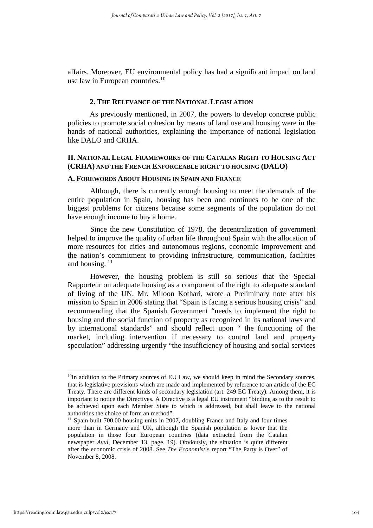affairs. Moreover, EU environmental policy has had a significant impact on land use law in European countries.<sup>[10](#page-4-0)</sup>

#### **2. THE RELEVANCE OF THE NATIONAL LEGISLATION**

As previously mentioned, in 2007, the powers to develop concrete public policies to promote social cohesion by means of land use and housing were in the hands of national authorities, explaining the importance of national legislation like DALO and CRHA.

#### **II. NATIONAL LEGAL FRAMEWORKS OF THE CATALAN RIGHT TO HOUSING ACT (CRHA) AND THE FRENCH ENFORCEABLE RIGHT TO HOUSING (DALO)**

#### **A. FOREWORDS ABOUT HOUSING IN SPAIN AND FRANCE**

Although, there is currently enough housing to meet the demands of the entire population in Spain, housing has been and continues to be one of the biggest problems for citizens because some segments of the population do not have enough income to buy a home.

Since the new Constitution of 1978, the decentralization of government helped to improve the quality of urban life throughout Spain with the allocation of more resources for cities and autonomous regions, economic improvement and the nation's commitment to providing infrastructure, communication, facilities and housing.  $11$ 

However, the housing problem is still so serious that the Special Rapporteur on adequate housing as a component of the right to adequate standard of living of the UN, Mr. Miloon Kothari, wrote a Preliminary note after his mission to Spain in 2006 stating that "Spain is facing a serious housing crisis" and recommending that the Spanish Government "needs to implement the right to housing and the social function of property as recognized in its national laws and by international standards" and should reflect upon " the functioning of the market, including intervention if necessary to control land and property speculation" addressing urgently "the insufficiency of housing and social services

<span id="page-4-0"></span><sup>&</sup>lt;sup>10</sup>In addition to the Primary sources of EU Law, we should keep in mind the Secondary sources, that is legislative previsions which are made and implemented by reference to an article of the EC Treaty. There are different kinds of secondary legislation (art. 249 EC Treaty). Among them, it is important to notice the Directives. A Directive is a legal EU instrument "binding as to the result to be achieved upon each Member State to which is addressed, but shall leave to the national authorities the choice of form an method".

<span id="page-4-1"></span><sup>&</sup>lt;sup>11</sup> Spain built 700.00 housing units in 2007, doubling France and Italy and four times more than in Germany and UK, although the Spanish population is lower that the population in those four European countries (data extracted from the Catalan newspaper *Avui*, December 13, page. 19). Obviously, the situation is quite different after the economic crisis of 2008. See *The Economist*´s report "The Party is Over" of November 8, 2008.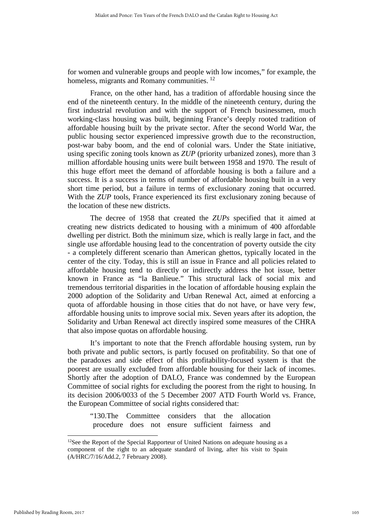for women and vulnerable groups and people with low incomes," for example, the homeless, migrants and Romany communities.<sup>[12](#page-5-0)</sup>

France, on the other hand, has a tradition of affordable housing since the end of the nineteenth century. In the middle of the nineteenth century, during the first industrial revolution and with the support of French businessmen, much working-class housing was built, beginning France's deeply rooted tradition of affordable housing built by the private sector. After the second World War, the public housing sector experienced impressive growth due to the reconstruction, post-war baby boom, and the end of colonial wars. Under the State initiative, using specific zoning tools known as *ZUP* (priority urbanized zones), more than 3 million affordable housing units were built between 1958 and 1970. The result of this huge effort meet the demand of affordable housing is both a failure and a success. It is a success in terms of number of affordable housing built in a very short time period, but a failure in terms of exclusionary zoning that occurred. With the *ZUP* tools, France experienced its first exclusionary zoning because of the location of these new districts.

The decree of 1958 that created the *ZUPs* specified that it aimed at creating new districts dedicated to housing with a minimum of 400 affordable dwelling per district. Both the minimum size, which is really large in fact, and the single use affordable housing lead to the concentration of poverty outside the city - a completely different scenario than American ghettos, typically located in the center of the city. Today, this is still an issue in France and all policies related to affordable housing tend to directly or indirectly address the hot issue, better known in France as "la Banlieue." This structural lack of social mix and tremendous territorial disparities in the location of affordable housing explain the 2000 adoption of the Solidarity and Urban Renewal Act, aimed at enforcing a quota of affordable housing in those cities that do not have, or have very few, affordable housing units to improve social mix. Seven years after its adoption, the Solidarity and Urban Renewal act directly inspired some measures of the CHRA that also impose quotas on affordable housing.

It's important to note that the French affordable housing system, run by both private and public sectors, is partly focused on profitability. So that one of the paradoxes and side effect of this profitability-focused system is that the poorest are usually excluded from affordable housing for their lack of incomes. Shortly after the adoption of DALO, France was condemned by the European Committee of social rights for excluding the poorest from the right to housing. In its decision 2006/0033 of the 5 December 2007 ATD Fourth World vs. France, the European Committee of social rights considered that:

"130.The Committee considers that the allocation procedure does not ensure sufficient fairness and

<span id="page-5-0"></span><sup>&</sup>lt;sup>12</sup>See the Report of the Special Rapporteur of United Nations on adequate housing as a component of the right to an adequate standard of living, after his visit to Spain (A/HRC/7/16/Add.2, 7 February 2008).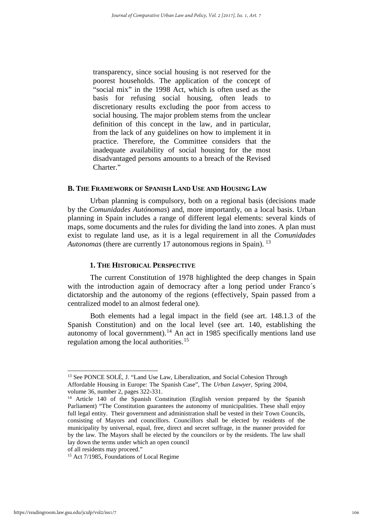transparency, since social housing is not reserved for the poorest households. The application of the concept of "social mix" in the 1998 Act, which is often used as the basis for refusing social housing, often leads to discretionary results excluding the poor from access to social housing. The major problem stems from the unclear definition of this concept in the law, and in particular, from the lack of any guidelines on how to implement it in practice. Therefore, the Committee considers that the inadequate availability of social housing for the most disadvantaged persons amounts to a breach of the Revised Charter."

#### **B. THE FRAMEWORK OF SPANISH LAND USE AND HOUSING LAW**

Urban planning is compulsory, both on a regional basis (decisions made by the *Comunidades Autónomas*) and, more importantly, on a local basis. Urban planning in Spain includes a range of different legal elements: several kinds of maps, some documents and the rules for dividing the land into zones. A plan must exist to regulate land use, as it is a legal requirement in all the *Comunidades Autonomas* (there are currently 17 autonomous regions in Spain). <sup>[13](#page-6-0)</sup>

#### **1. THE HISTORICAL PERSPECTIVE**

The current Constitution of 1978 highlighted the deep changes in Spain with the introduction again of democracy after a long period under Franco's dictatorship and the autonomy of the regions (effectively, Spain passed from a centralized model to an almost federal one).

Both elements had a legal impact in the field (see art. 148.1.3 of the Spanish Constitution) and on the local level (see art. 140, establishing the autonomy of local government).<sup>[14](#page-6-1)</sup> An act in 1985 specifically mentions land use regulation among the local authorities.<sup>[15](#page-6-2)</sup>

<span id="page-6-0"></span><sup>&</sup>lt;sup>13</sup> See PONCE SOLÉ, J. "Land Use Law, Liberalization, and Social Cohesion Through Affordable Housing in Europe: The Spanish Case", The *Urban Lawyer*, Spring 2004, volume 36, number 2, pages 322-331.

<span id="page-6-1"></span><sup>&</sup>lt;sup>14</sup> Article 140 of the Spanish Constitution (English version prepared by the Spanish Parliament) "The Constitution guarantees the autonomy of municipalities. These shall enjoy full legal entity. Their government and administration shall be vested in their Town Councils, consisting of Mayors and councillors. Councillors shall be elected by residents of the municipality by universal, equal, free, direct and secret suffrage, in the manner provided for by the law. The Mayors shall be elected by the councilors or by the residents. The law shall lay down the terms under which an open council

of all residents may proceed."

<span id="page-6-2"></span><sup>&</sup>lt;sup>15</sup> Act 7/1985, Foundations of Local Regime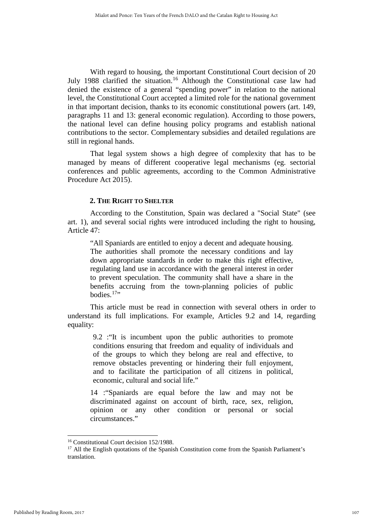With regard to housing, the important Constitutional Court decision of 20 July 1988 clarified the situation.<sup>[16](#page-7-0)</sup> Although the Constitutional case law had denied the existence of a general "spending power" in relation to the national level, the Constitutional Court accepted a limited role for the national government in that important decision, thanks to its economic constitutional powers (art. 149, paragraphs 11 and 13: general economic regulation). According to those powers, the national level can define housing policy programs and establish national contributions to the sector. Complementary subsidies and detailed regulations are still in regional hands.

That legal system shows a high degree of complexity that has to be managed by means of different cooperative legal mechanisms (eg. sectorial conferences and public agreements, according to the Common Administrative Procedure Act 2015).

## **2. THE RIGHT TO SHELTER**

According to the Constitution, Spain was declared a "Social State" (see art. 1), and several social rights were introduced including the right to housing, Article 47:

"All Spaniards are entitled to enjoy a decent and adequate housing. The authorities shall promote the necessary conditions and lay down appropriate standards in order to make this right effective, regulating land use in accordance with the general interest in order to prevent speculation. The community shall have a share in the benefits accruing from the town-planning policies of public bodies  $17$ "

This article must be read in connection with several others in order to understand its full implications. For example, Articles 9.2 and 14, regarding equality:

> 9.2 :"It is incumbent upon the public authorities to promote conditions ensuring that freedom and equality of individuals and of the groups to which they belong are real and effective, to remove obstacles preventing or hindering their full enjoyment, and to facilitate the participation of all citizens in political, economic, cultural and social life."

14 :"Spaniards are equal before the law and may not be discriminated against on account of birth, race, sex, religion, opinion or any other condition or personal or social circumstances."

<sup>-</sup><sup>16</sup> Constitutional Court decision 152/1988.

<span id="page-7-1"></span><span id="page-7-0"></span><sup>&</sup>lt;sup>17</sup> All the English quotations of the Spanish Constitution come from the Spanish Parliament's translation.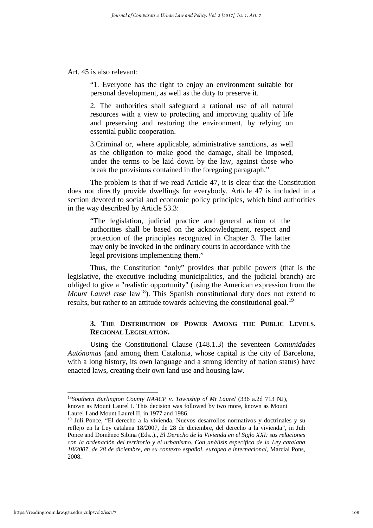Art. 45 is also relevant:

"1. Everyone has the right to enjoy an environment suitable for personal development, as well as the duty to preserve it.

2. The authorities shall safeguard a rational use of all natural resources with a view to protecting and improving quality of life and preserving and restoring the environment, by relying on essential public cooperation.

3.Criminal or, where applicable, administrative sanctions, as well as the obligation to make good the damage, shall be imposed, under the terms to be laid down by the law, against those who break the provisions contained in the foregoing paragraph."

The problem is that if we read Article 47, it is clear that the Constitution does not directly provide dwellings for everybody. Article 47 is included in a section devoted to social and economic policy principles, which bind authorities in the way described by Article 53.3:

"The legislation, judicial practice and general action of the authorities shall be based on the acknowledgment, respect and protection of the principles recognized in Chapter 3. The latter may only be invoked in the ordinary courts in accordance with the legal provisions implementing them."

Thus, the Constitution "only" provides that public powers (that is the legislative, the executive including municipalities, and the judicial branch) are obliged to give a "realistic opportunity" (using the American expression from the *Mount Laurel* case law<sup>18</sup>). This Spanish constitutional duty does not extend to results, but rather to an attitude towards achieving the constitutional goal.<sup>[19](#page-8-1)</sup>

## **3. THE DISTRIBUTION OF POWER AMONG THE PUBLIC LEVELS. REGIONAL LEGISLATION.**

Using the Constitutional Clause (148.1.3) the seventeen *Comunidades Autónomas* (and among them Catalonia, whose capital is the city of Barcelona, with a long history, its own language and a strong identity of nation status) have enacted laws, creating their own land use and housing law.

Laurel I and Mount Laurel II, in 1977 and 1986.

<span id="page-8-0"></span><sup>18</sup>*Southern Burlington County NAACP v. Township of Mt Laurel* (336 a.2d 713 NJ), known as Mount Laurel I. This decision was followed by two more, known as Mount

<span id="page-8-1"></span> $19$  Juli Ponce, "El derecho a la vivienda. Nuevos desarrollos normativos y doctrinales y su reflejo en la Ley catalana 18/2007, de 28 de diciembre, del derecho a la vivienda", in Juli Ponce and Domènec Sibina (Eds..)., *El Derecho de la Vivienda en el Siglo XXI: sus relaciones con la ordenación del territorio y el urbanismo. Con análisis específico de la Ley catalana 18/2007, de 28 de diciembre, en su contexto español, europeo e internacional,* Marcial Pons, 2008.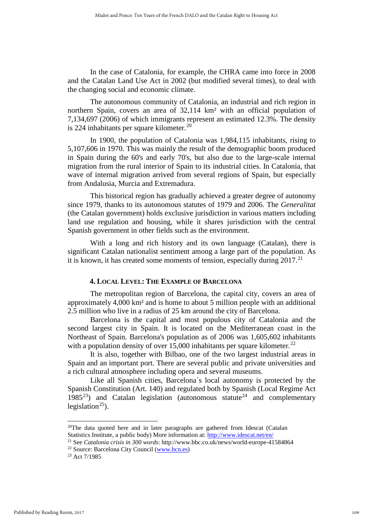In the case of Catalonia, for example, the CHRA came into force in 2008 and the Catalan Land Use Act in 2002 (but modified several times), to deal with the changing social and economic climate.

The autonomous community of Catalonia, an industrial and rich region in northern Spain, covers an area of 32,114 km² with an official population of 7,134,697 (2006) of which immigrants represent an estimated 12.3%. The density is 224 inhabitants per square kilometer. $^{20}$  $^{20}$  $^{20}$ 

In 1900, the population of Catalonia was 1,984,115 inhabitants, rising to 5,107,606 in 1970. This was mainly the result of the demographic boom produced in Spain during the 60's and early 70's, but also due to the large-scale internal migration from the rural interior of [Spain](http://en.wikipedia.org/wiki/Spain) to its industrial cities. In Catalonia, that wave of internal migration arrived from several regions of Spain, but especially from [Andalusia,](http://en.wikipedia.org/wiki/Andalusia) [Murcia](http://en.wikipedia.org/wiki/Region_of_Murcia) and [Extremadura.](http://en.wikipedia.org/wiki/Extremadura)

This historical region has gradually achieved a greater degree of autonomy since 1979, thanks to its autonomous statutes of 1979 and 2006. The *Generalitat* (the Catalan government) holds exclusive jurisdiction in various matters including land use regulation and housing, while it shares jurisdiction with the central Spanish government in other fields such as the environment.

With a long and rich history and its own language (Catalan), there is significant Catalan nationalist sentiment among a large part of the population. As it is known, it has created some moments of tension, especially during  $2017$ <sup>[21](#page-9-1)</sup>

#### **4. LOCAL LEVEL: THE EXAMPLE OF BARCELONA**

The metropolitan region of Barcelona, the capital city, covers an area of approximately 4,000 km² and is home to about 5 million people with an additional 2.5 million who live in a radius of 25 km around the city of Barcelona.

Barcelona is the capital and most populous city of [Catalonia](http://en.wikipedia.org/wiki/Catalonia) and the second largest city in [Spain.](http://en.wikipedia.org/wiki/Spain) It is located on the [Mediterranean](http://en.wikipedia.org/wiki/Mediterranean_Sea) coast in the Northeast of Spain. Barcelona's population as of 2006 was 1,605,602 inhabitants with a population density of over  $15,000$  inhabitants per square kilometer.<sup>[22](#page-9-2)</sup>

It is also, together with Bilbao, one of the two largest industrial areas in Spain and an important port. There are several public and private universities and a rich cultural atmosphere including opera and several museums.

Like all Spanish cities, Barcelona´s local autonomy is protected by the Spanish Constitution (Art. 140) and regulated both by Spanish (Local Regime Act  $1985^{23}$ ) and Catalan legislation (autonomous statute<sup>[24](#page-9-4)</sup> and complementary legislation<sup>25</sup>).

<span id="page-9-0"></span> $20$ The data quoted here and in later paragraphs are gathered from Idescat (Catalan Statistics Institute, a public body) More information at:<http://www.idescat.net/en/>

<span id="page-9-4"></span><span id="page-9-1"></span><sup>21</sup> See *Catalonia crisis in 300 words*: http://www.bbc.co.uk/news/world-europe-41584864

<span id="page-9-3"></span><span id="page-9-2"></span><sup>&</sup>lt;sup>22</sup> Source: Barcelona City Council ( $\frac{www.bcn.es)}{23}$  Act 7/1985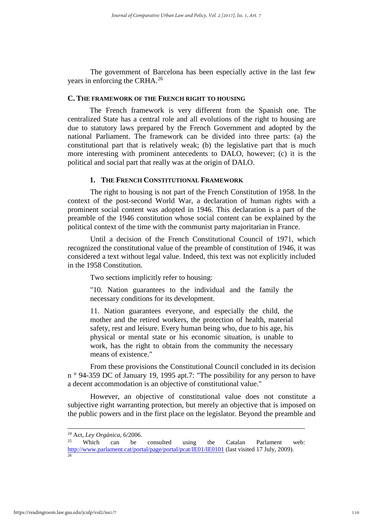The government of Barcelona has been especially active in the last few years in enforcing the CRHA.<sup>[26](#page-10-0)</sup>

#### **C. THE FRAMEWORK OF THE FRENCH RIGHT TO HOUSING**

The French framework is very different from the Spanish one. The centralized State has a central role and all evolutions of the right to housing are due to statutory laws prepared by the French Government and adopted by the national Parliament. The framework can be divided into three parts: (a) the constitutional part that is relatively weak; (b) the legislative part that is much more interesting with prominent antecedents to DALO, however; (c) it is the political and social part that really was at the origin of DALO.

#### **1. THE FRENCH CONSTITUTIONAL FRAMEWORK**

The right to housing is not part of the French Constitution of 1958. In the context of the post-second World War, a declaration of human rights with a prominent social content was adopted in 1946. This declaration is a part of the preamble of the 1946 constitution whose social content can be explained by the political context of the time with the communist party majoritarian in France.

Until a decision of the French Constitutional Council of 1971, which recognized the constitutional value of the preamble of constitution of 1946, it was considered a text without legal value. Indeed, this text was not explicitly included in the 1958 Constitution.

Two sections implicitly refer to housing:

"10. Nation guarantees to the individual and the family the necessary conditions for its development.

11. Nation guarantees everyone, and especially the child, the mother and the retired workers, the protection of health, material safety, rest and leisure. Every human being who, due to his age, his physical or mental state or his economic situation, is unable to work, has the right to obtain from the community the necessary means of existence."

From these provisions the Constitutional Council concluded in its decision n ° 94-359 DC of January 19, 1995 apt.7: "The possibility for any person to have a decent accommodation is an objective of constitutional value."

However, an objective of constitutional value does not constitute a subjective right warranting protection, but merely an objective that is imposed on the public powers and in the first place on the legislator. Beyond the preamble and

<sup>&</sup>lt;sup>24</sup> Act, *Ley Orgánica*, 6/2006.

<span id="page-10-0"></span>Which can be consulted using the Catalan Parlament web: <http://www.parlament.cat/portal/page/portal/pcat/IE01/IE0101> (last visited 17 July, 2009). 26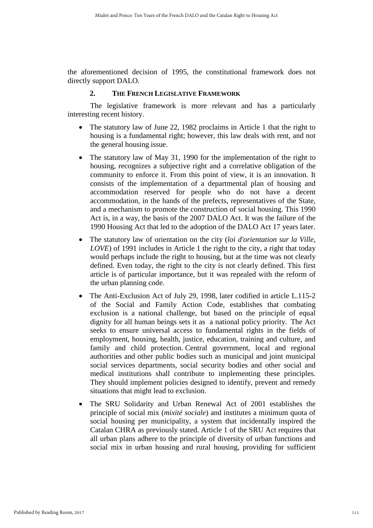the aforementioned decision of 1995, the constitutional framework does not directly support DALO.

## **2. THE FRENCH LEGISLATIVE FRAMEWORK**

The legislative framework is more relevant and has a particularly interesting recent history.

- The statutory law of June 22, 1982 proclaims in Article 1 that the right to housing is a fundamental right; however, this law deals with rent, and not the general housing issue.
- The statutory law of May 31, 1990 for the implementation of the right to housing, recognizes a subjective right and a correlative obligation of the community to enforce it. From this point of view, it is an innovation. It consists of the implementation of a departmental plan of housing and accommodation reserved for people who do not have a decent accommodation, in the hands of the prefects, representatives of the State, and a mechanism to promote the construction of social housing. This 1990 Act is, in a way, the basis of the 2007 DALO Act. It was the failure of the 1990 Housing Act that led to the adoption of the DALO Act 17 years later.
- The statutory law of orientation on the city (*loi d'orientation sur la Ville*, *LOVE*) of 1991 includes in Article 1 the right to the city, a right that today would perhaps include the right to housing, but at the time was not clearly defined. Even today, the right to the city is not clearly defined. This first article is of particular importance, but it was repealed with the reform of the urban planning code.
- The Anti-Exclusion Act of July 29, 1998, later codified in article L.115-2 of the Social and Family Action Code, establishes that combating exclusion is a national challenge, but based on the principle of equal dignity for all human beings sets it as a national policy priority. The Act seeks to ensure universal access to fundamental rights in the fields of employment, housing, health, justice, education, training and culture, and family and child protection. Central government, local and regional authorities and other public bodies such as municipal and joint municipal social services departments, social security bodies and other social and medical institutions shall contribute to implementing these principles. They should implement policies designed to identify, prevent and remedy situations that might lead to exclusion.
- The SRU Solidarity and Urban Renewal Act of 2001 establishes the principle of social mix (*mixité sociale*) and institutes a minimum quota of social housing per municipality, a system that incidentally inspired the Catalan CHRA as previously stated. Article 1 of the SRU Act requires that all urban plans adhere to the principle of diversity of urban functions and social mix in urban housing and rural housing, providing for sufficient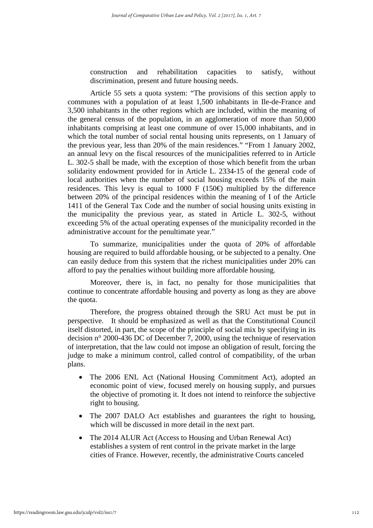construction and rehabilitation capacities to satisfy, without discrimination, present and future housing needs.

Article 55 sets a quota system: "The provisions of this section apply to communes with a population of at least 1,500 inhabitants in Ile-de-France and 3,500 inhabitants in the other regions which are included, within the meaning of the general census of the population, in an agglomeration of more than 50,000 inhabitants comprising at least one commune of over 15,000 inhabitants, and in which the total number of social rental housing units represents, on 1 January of the previous year, less than 20% of the main residences." "From 1 January 2002, an annual levy on the fiscal resources of the municipalities referred to in Article L. 302-5 shall be made, with the exception of those which benefit from the urban solidarity endowment provided for in Article L. 2334-15 of the general code of local authorities when the number of social housing exceeds 15% of the main residences. This levy is equal to 1000 F (150 $\oplus$ ) multiplied by the difference between 20% of the principal residences within the meaning of I of the Article 1411 of the General Tax Code and the number of social housing units existing in the municipality the previous year, as stated in Article L. 302-5, without exceeding 5% of the actual operating expenses of the municipality recorded in the administrative account for the penultimate year."

To summarize, municipalities under the quota of 20% of affordable housing are required to build affordable housing, or be subjected to a penalty. One can easily deduce from this system that the richest municipalities under 20% can afford to pay the penalties without building more affordable housing.

Moreover, there is, in fact, no penalty for those municipalities that continue to concentrate affordable housing and poverty as long as they are above the quota.

Therefore, the progress obtained through the SRU Act must be put in perspective. It should be emphasized as well as that the Constitutional Council itself distorted, in part, the scope of the principle of social mix by specifying in its decision n° 2000-436 DC of December 7, 2000, using the technique of reservation of interpretation, that the law could not impose an obligation of result, forcing the judge to make a minimum control, called control of compatibility, of the urban plans.

- The 2006 ENL Act (National Housing Commitment Act), adopted an economic point of view, focused merely on housing supply, and pursues the objective of promoting it. It does not intend to reinforce the subjective right to housing.
- The 2007 DALO Act establishes and guarantees the right to housing, which will be discussed in more detail in the next part.
- The 2014 ALUR Act (Access to Housing and Urban Renewal Act) establishes a system of rent control in the private market in the large cities of France. However, recently, the administrative Courts canceled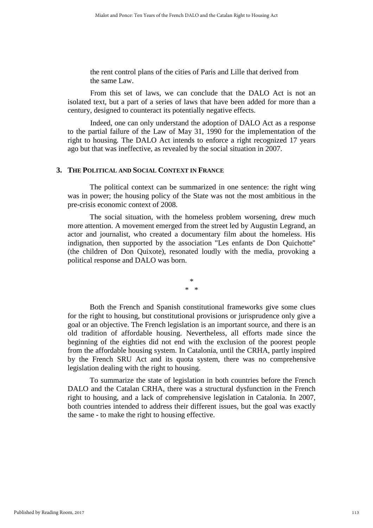the rent control plans of the cities of Paris and Lille that derived from the same Law.

From this set of laws, we can conclude that the DALO Act is not an isolated text, but a part of a series of laws that have been added for more than a century, designed to counteract its potentially negative effects.

Indeed, one can only understand the adoption of DALO Act as a response to the partial failure of the Law of May 31, 1990 for the implementation of the right to housing. The DALO Act intends to enforce a right recognized 17 years ago but that was ineffective, as revealed by the social situation in 2007.

## **3. THE POLITICAL AND SOCIAL CONTEXT IN FRANCE**

The political context can be summarized in one sentence: the right wing was in power; the housing policy of the State was not the most ambitious in the pre-crisis economic context of 2008.

The social situation, with the homeless problem worsening, drew much more attention. A movement emerged from the street led by Augustin Legrand, an actor and journalist, who created a documentary film about the homeless. His indignation, then supported by the association "Les enfants de Don Quichotte" (the children of Don Quixote), resonated loudly with the media, provoking a political response and DALO was born.

> \* \* \*

Both the French and Spanish constitutional frameworks give some clues for the right to housing, but constitutional provisions or jurisprudence only give a goal or an objective. The French legislation is an important source, and there is an old tradition of affordable housing. Nevertheless, all efforts made since the beginning of the eighties did not end with the exclusion of the poorest people from the affordable housing system. In Catalonia, until the CRHA, partly inspired by the French SRU Act and its quota system, there was no comprehensive legislation dealing with the right to housing.

To summarize the state of legislation in both countries before the French DALO and the Catalan CRHA, there was a structural dysfunction in the French right to housing, and a lack of comprehensive legislation in Catalonia. In 2007, both countries intended to address their different issues, but the goal was exactly the same - to make the right to housing effective.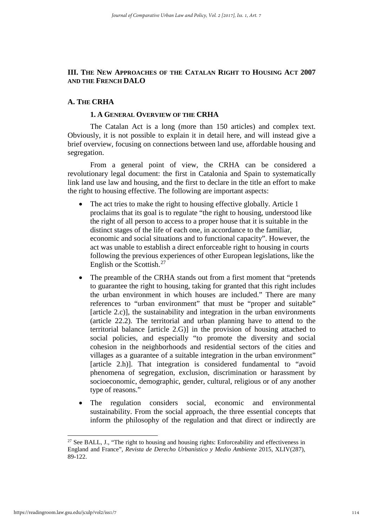## **III. THE NEW APPROACHES OF THE CATALAN RIGHT TO HOUSING ACT 2007 AND THE FRENCH DALO**

## **A. THE CRHA**

## **1. A GENERAL OVERVIEW OF THE CRHA**

The Catalan Act is a long (more than 150 articles) and complex text. Obviously, it is not possible to explain it in detail here, and will instead give a brief overview, focusing on connections between land use, affordable housing and segregation.

From a general point of view, the CRHA can be considered a revolutionary legal document: the first in Catalonia and Spain to systematically link land use law and housing, and the first to declare in the title an effort to make the right to housing effective. The following are important aspects:

- The act tries to make the right to housing effective globally. Article 1 proclaims that its goal is to regulate "the right to housing, understood like the right of all person to access to a proper house that it is suitable in the distinct stages of the life of each one, in accordance to the familiar, economic and social situations and to functional capacity". However, the act was unable to establish a direct enforceable right to housing in courts following the previous experiences of other European legislations, like the English or the Scottish. $27$
- The preamble of the CRHA stands out from a first moment that "pretends" to guarantee the right to housing, taking for granted that this right includes the urban environment in which houses are included." There are many references to "urban environment" that must be "proper and suitable" [article 2.c)], the sustainability and integration in the urban environments (article 22.2). The territorial and urban planning have to attend to the territorial balance [article 2.G)] in the provision of housing attached to social policies, and especially "to promote the diversity and social cohesion in the neighborhoods and residential sectors of the cities and villages as a guarantee of a suitable integration in the urban environment" [article 2.h)]. That integration is considered fundamental to "avoid phenomena of segregation, exclusion, discrimination or harassment by socioeconomic, demographic, gender, cultural, religious or of any another type of reasons."
- The regulation considers social, economic and environmental sustainability. From the social approach, the three essential concepts that inform the philosophy of the regulation and that direct or indirectly are

<span id="page-14-0"></span><sup>&</sup>lt;sup>27</sup> See BALL, J., "The right to housing and housing rights: Enforceability and effectiveness in England and France", *Revista de Derecho Urbanístico y Medio Ambiente* 2015, XLIV(287), 89-122.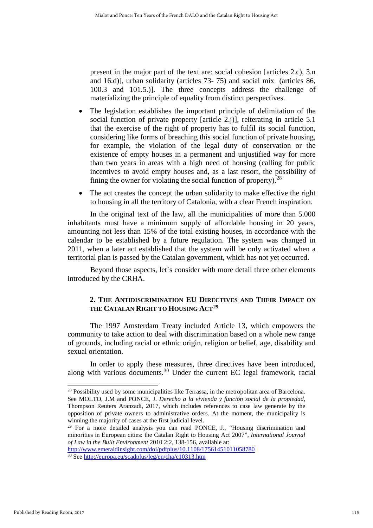present in the major part of the text are: social cohesion [articles 2.c), 3.n and 16.d)], urban solidarity (articles 73- 75) and social mix (articles 86, 100.3 and 101.5.)]. The three concepts address the challenge of materializing the principle of equality from distinct perspectives.

- The legislation establishes the important principle of delimitation of the social function of private property [article 2.j)], reiterating in article 5.1 that the exercise of the right of property has to fulfil its social function, considering like forms of breaching this social function of private housing, for example, the violation of the legal duty of conservation or the existence of empty houses in a permanent and unjustified way for more than two years in areas with a high need of housing (calling for public incentives to avoid empty houses and, as a last resort, the possibility of fining the owner for violating the social function of property).<sup>[28](#page-15-0)</sup>
- The act creates the concept the urban solidarity to make effective the right to housing in all the territory of Catalonia, with a clear French inspiration.

In the original text of the law, all the municipalities of more than 5.000 inhabitants must have a minimum supply of affordable housing in 20 years, amounting not less than 15% of the total existing houses, in accordance with the calendar to be established by a future regulation. The system was changed in 2011, when a later act established that the system will be only activated when a territorial plan is passed by the Catalan government, which has not yet occurred.

Beyond those aspects, let´s consider with more detail three other elements introduced by the CRHA.

## **2. THE ANTIDISCRIMINATION EU DIRECTIVES AND THEIR IMPACT ON THE CATALAN RIGHT TO HOUSING ACT[29](#page-15-1)**

The 1997 Amsterdam Treaty included Article 13, which empowers the community to take action to deal with discrimination based on a whole new range of grounds, including racial or ethnic origin, religion or belief, age, disability and sexual orientation.

In order to apply these measures, three directives have been introduced, along with various documents. [30](#page-15-2) Under the current EC legal framework, racial

```
 http://europa.eu/scadplus/leg/en/cha/c10313.htm
```
1

<span id="page-15-0"></span> $28$  Possibility used by some municipalities like Terrassa, in the metropolitan area of Barcelona. See MOLTO, J.M and PONCE, J. *Derecho a la vivienda y función social de la propiedad*, Thompson Reuters Aranzadi, 2017, which includes references to case law generate by the opposition of private owners to administrative orders. At the moment, the municipality is winning the majority of cases at the first judicial level.

<span id="page-15-1"></span><sup>29</sup> For a more detailed analysis you can read PONCE, J., "Housing discrimination and minorities in European cities: the Catalan Right to Housing Act 2007", *International Journal of Law in the Built Environment* 2010 2:2, 138-156, available at: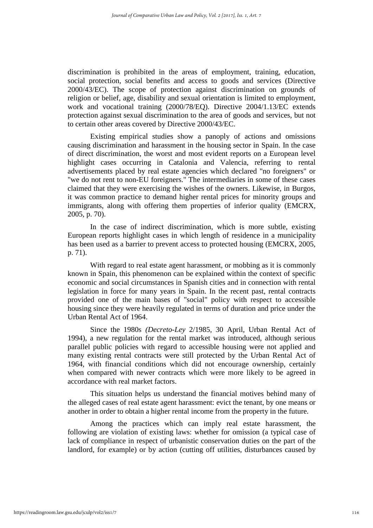discrimination is prohibited in the areas of employment, training, education, social protection, social benefits and access to goods and services (Directive 2000/43/EC). The scope of protection against discrimination on grounds of religion or belief, age, disability and sexual orientation is limited to employment, work and vocational training (2000/78/EQ). Directive 2004/1.13/EC extends protection against sexual discrimination to the area of goods and services, but not to certain other areas covered by Directive 2000/43/EC.

Existing empirical studies show a panoply of actions and omissions causing discrimination and harassment in the housing sector in Spain. In the case of direct discrimination, the worst and most evident reports on a European level highlight cases occurring in Catalonia and Valencia, referring to rental advertisements placed by real estate agencies which declared "no foreigners" or "we do not rent to non-EU foreigners." The intermediaries in some of these cases claimed that they were exercising the wishes of the owners. Likewise, in Burgos, it was common practice to demand higher rental prices for minority groups and immigrants, along with offering them properties of inferior quality (EMCRX, 2005, p. 70).

In the case of indirect discrimination, which is more subtle, existing European reports highlight cases in which length of residence in a municipality has been used as a barrier to prevent access to protected housing (EMCRX, 2005, p. 71).

With regard to real estate agent harassment, or mobbing as it is commonly known in Spain, this phenomenon can be explained within the context of specific economic and social circumstances in Spanish cities and in connection with rental legislation in force for many years in Spain. In the recent past, rental contracts provided one of the main bases of "social" policy with respect to accessible housing since they were heavily regulated in terms of duration and price under the Urban Rental Act of 1964.

Since the 1980s *(Decreto-Ley* 2/1985, 30 April, Urban Rental Act of 1994), a new regulation for the rental market was introduced, although serious parallel public policies with regard to accessible housing were not applied and many existing rental contracts were still protected by the Urban Rental Act of 1964, with financial conditions which did not encourage ownership, certainly when compared with newer contracts which were more likely to be agreed in accordance with real market factors.

This situation helps us understand the financial motives behind many of the alleged cases of real estate agent harassment: evict the tenant, by one means or another in order to obtain a higher rental income from the property in the future.

Among the practices which can imply real estate harassment, the following are violation of existing laws: whether for omission (a typical case of lack of compliance in respect of urbanistic conservation duties on the part of the landlord, for example) or by action (cutting off utilities, disturbances caused by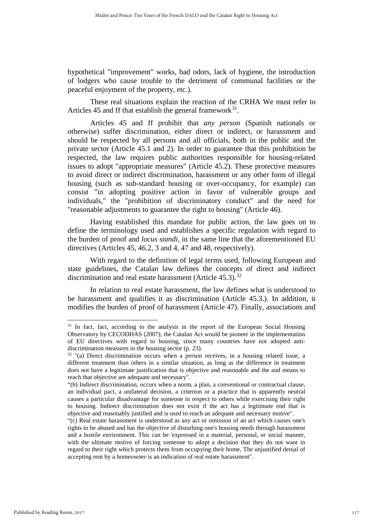hypothetical "improvement" works, bad odors, lack of hygiene, the introduction of lodgers who cause trouble to the detriment of communal facilities or the peaceful enjoyment of the property, etc.).

These real situations explain the reaction of the CRHA We must refer to Articles 45 and ff that establish the general framework<sup>31</sup>.

Articles 45 and ff prohibit that *any person* (Spanish nationals or otherwise) suffer discrimination, either direct or indirect, or harassment and should be respected by all persons and all officials, both in the public and the private sector (Article 45.1 and 2). In order to guarantee that this prohibition be respected, the law requires public authorities responsible for housing-related issues to adopt "appropriate measures" (Article 45.2). These protective measures to avoid direct or indirect discrimination, harassment or any other form of illegal housing (such as sub-standard housing or over-occupancy, for example) can consist "in adopting positive action in favor of vulnerable groups and individuals," the "prohibition of discriminatory conduct" and the need for "reasonable adjustments to guarantee the right to housing" (Article 46).

Having established this mandate for public action, the law goes on to define the terminology used and establishes a specific regulation with regard to the burden of proof and *locus standi,* in the same line that the aforementioned EU directives (Articles 45, 46.2, 3 and 4, 47 and 48, respectively).

With regard to the definition of legal terms used, following European and state guidelines, the Catalan law defines the concepts of direct and indirect discrimination and real estate harassment (Article 45.3).<sup>[32](#page-17-1)</sup>

In relation to real estate harassment, the law defines what is understood to be harassment and qualifies it as discrimination (Article 45.3.). In addition, it modifies the burden of proof of harassment (Article 47). Finally, associations and

<span id="page-17-0"></span><sup>&</sup>lt;sup>31</sup> In fact, fact, according to the analysis in the report of the European Social Housing Observatory by CECODHAS (2007), the Catalan Act would be pioneer in the implementation of EU directives with regard to housing, since many countries have not adopted antidiscrimination measures in the housing sector (p. 23).

<span id="page-17-1"></span><sup>&</sup>lt;sup>32</sup> "(a) Direct discrimination occurs when a person receives, in a housing related issue, a different treatment than others in a similar situation, as long as the difference in treatment does not have a legitimate justification that is objective and reasonable and the and means to reach that objective are adequate and necessary".

<sup>&</sup>quot;(h) Indirect discrimination, occurs when a norm, a plan, a conventional or contractual clause, an individual pact, a unilateral decision, a criterion or a practice that is apparently neutral causes a particular disadvantage for someone in respect to others while exercising their right to housing. Indirect discrimination does not exist if the act has a legitimate end that is objective and reasonably justified and is used to reach an adequate and necessary motive".

<sup>&</sup>quot;(c) Real estate harassment is understood as any act or omission of an act which causes one's rights to be abused and has the objective of disturbing one's housing needs through harassment and a hostile environment. This can be 'expressed in a material, personal, or social manner, with the ultimate motive of forcing someone to adopt a decision that they do not want in regard to their right which protects them from occupying their home, The unjustified denial of accepting rent by a homeowner is an indication of real estate harassment".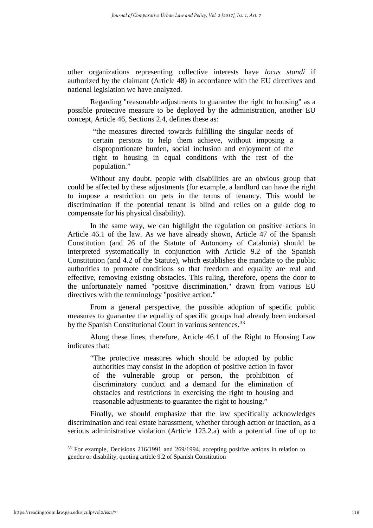other organizations representing collective interests have *locus standi* if authorized by the claimant (Article 48) in accordance with the EU directives and national legislation we have analyzed.

Regarding "reasonable adjustments to guarantee the right to housing" as a possible protective measure to be deployed by the administration, another EU concept, Article 46, Sections 2.4, defines these as:

> "the measures directed towards fulfilling the singular needs of certain persons to help them achieve, without imposing a disproportionate burden, social inclusion and enjoyment of the right to housing in equal conditions with the rest of the population."

Without any doubt, people with disabilities are an obvious group that could be affected by these adjustments (for example, a landlord can have the right to impose a restriction on pets in the terms of tenancy. This would be discrimination if the potential tenant is blind and relies on a guide dog to compensate for his physical disability).

In the same way, we can highlight the regulation on positive actions in Article 46.1 of the law. As we have already shown, Article 47 of the Spanish Constitution (and 26 of the Statute of Autonomy of Catalonia) should be interpreted systematically in conjunction with Article 9.2 of the Spanish Constitution (and 4.2 of the Statute), which establishes the mandate to the public authorities to promote conditions so that freedom and equality are real and effective, removing existing obstacles. This ruling, therefore, opens the door to the unfortunately named "positive discrimination," drawn from various EU directives with the terminology "positive action."

From a general perspective, the possible adoption of specific public measures to guarantee the equality of specific groups had already been endorsed by the Spanish Constitutional Court in various sentences.<sup>[33](#page-18-0)</sup>

Along these lines, therefore, Article 46.1 of the Right to Housing Law indicates that:

"The protective measures which should be adopted by public authorities may consist in the adoption of positive action in favor of the vulnerable group or person, the prohibition of discriminatory conduct and a demand for the elimination of obstacles and restrictions in exercising the right to housing and reasonable adjustments to guarantee the right to housing."

Finally, we should emphasize that the law specifically acknowledges discrimination and real estate harassment, whether through action or inaction, as a serious administrative violation (Article 123.2.a) with a potential fine of up to

<span id="page-18-0"></span><sup>&</sup>lt;sup>33</sup> For example, Decisions 216/1991 and 269/1994, accepting positive actions in relation to gender or disability, quoting article 9.2 of Spanish Constitution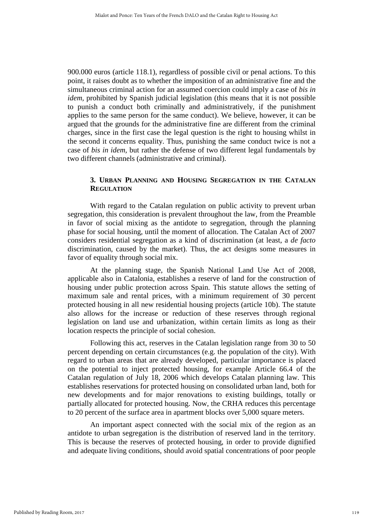900.000 euros (article 118.1), regardless of possible civil or penal actions. To this point, it raises doubt as to whether the imposition of an administrative fine and the simultaneous criminal action for an assumed coercion could imply a case of *bis in idem,* prohibited by Spanish judicial legislation (this means that it is not possible to punish a conduct both criminally and administratively, if the punishment applies to the same person for the same conduct). We believe, however, it can be argued that the grounds for the administrative fine are different from the criminal charges, since in the first case the legal question is the right to housing whilst in the second it concerns equality. Thus, punishing the same conduct twice is not a case of *bis in idem,* but rather the defense of two different legal fundamentals by two different channels (administrative and criminal).

## **3. URBAN PLANNING AND HOUSING SEGREGATION IN THE CATALAN REGULATION**

With regard to the Catalan regulation on public activity to prevent urban segregation, this consideration is prevalent throughout the law, from the Preamble in favor of social mixing as the antidote to segregation, through the planning phase for social housing, until the moment of allocation. The Catalan Act of 2007 considers residential segregation as a kind of discrimination (at least, a *de facto*  discrimination, caused by the market). Thus, the act designs some measures in favor of equality through social mix.

At the planning stage, the Spanish National Land Use Act of 2008, applicable also in Catalonia, establishes a reserve of land for the construction of housing under public protection across Spain. This statute allows the setting of maximum sale and rental prices, with a minimum requirement of 30 percent protected housing in all new residential housing projects (article 10b). The statute also allows for the increase or reduction of these reserves through regional legislation on land use and urbanization, within certain limits as long as their location respects the principle of social cohesion.

Following this act, reserves in the Catalan legislation range from 30 to 50 percent depending on certain circumstances (e.g. the population of the city). With regard to urban areas that are already developed, particular importance is placed on the potential to inject protected housing, for example Article 66.4 of the Catalan regulation of July 18, 2006 which develops Catalan planning law. This establishes reservations for protected housing on consolidated urban land, both for new developments and for major renovations to existing buildings, totally or partially allocated for protected housing. Now, the CRHA reduces this percentage to 20 percent of the surface area in apartment blocks over 5,000 square meters.

An important aspect connected with the social mix of the region as an antidote to urban segregation is the distribution of reserved land in the territory. This is because the reserves of protected housing, in order to provide dignified and adequate living conditions, should avoid spatial concentrations of poor people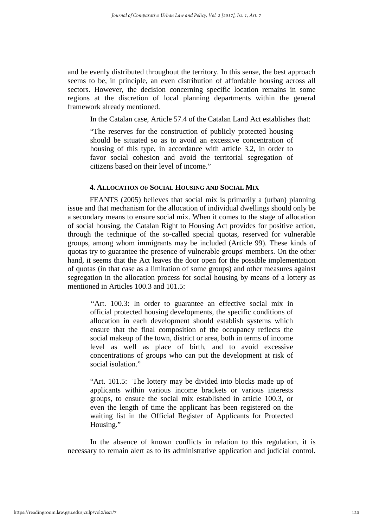and be evenly distributed throughout the territory. In this sense, the best approach seems to be, in principle, an even distribution of affordable housing across all sectors. However, the decision concerning specific location remains in some regions at the discretion of local planning departments within the general framework already mentioned.

In the Catalan case, Article 57.4 of the Catalan Land Act establishes that:

"The reserves for the construction of publicly protected housing should be situated so as to avoid an excessive concentration of housing of this type, in accordance with article 3.2, in order to favor social cohesion and avoid the territorial segregation of citizens based on their level of income."

#### **4. ALLOCATION OF SOCIAL HOUSING AND SOCIAL MIX**

FEANTS (2005) believes that social mix is primarily a (urban) planning issue and that mechanism for the allocation of individual dwellings should only be a secondary means to ensure social mix. When it comes to the stage of allocation of social housing, the Catalan Right to Housing Act provides for positive action, through the technique of the so-called special quotas, reserved for vulnerable groups, among whom immigrants may be included (Article 99). These kinds of quotas try to guarantee the presence of vulnerable groups' members. On the other hand, it seems that the Act leaves the door open for the possible implementation of quotas (in that case as a limitation of some groups) and other measures against segregation in the allocation process for social housing by means of a lottery as mentioned in Articles 100.3 and 101.5:

*"*Art. 100.3: In order to guarantee an effective social mix in official protected housing developments, the specific conditions of allocation in each development should establish systems which ensure that the final composition of the occupancy reflects the social makeup of the town, district or area, both in terms of income level as well as place of birth, and to avoid excessive concentrations of groups who can put the development at risk of social isolation."

"Art. 101.5: The lottery may be divided into blocks made up of applicants within various income brackets or various interests groups, to ensure the social mix established in article 100.3, or even the length of time the applicant has been registered on the waiting list in the Official Register of Applicants for Protected Housing."

In the absence of known conflicts in relation to this regulation, it is necessary to remain alert as to its administrative application and judicial control.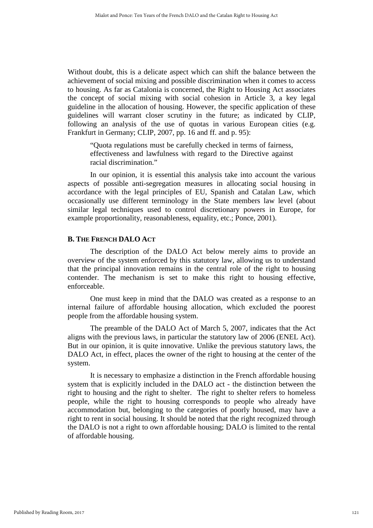Without doubt, this is a delicate aspect which can shift the balance between the achievement of social mixing and possible discrimination when it comes to access to housing. As far as Catalonia is concerned, the Right to Housing Act associates the concept of social mixing with social cohesion in Article 3, a key legal guideline in the allocation of housing. However, the specific application of these guidelines will warrant closer scrutiny in the future; as indicated by CLIP, following an analysis of the use of quotas in various European cities (e.g. Frankfurt in Germany; CLIP, 2007, pp. 16 and ff. and p. 95):

"Quota regulations must be carefully checked in terms of fairness, effectiveness and lawfulness with regard to the Directive against racial discrimination."

In our opinion, it is essential this analysis take into account the various aspects of possible anti-segregation measures in allocating social housing in accordance with the legal principles of EU, Spanish and Catalan Law, which occasionally use different terminology in the State members law level (about similar legal techniques used to control discretionary powers in Europe, for example proportionality, reasonableness, equality, etc.; Ponce, 2001).

#### **B. THE FRENCH DALO ACT**

The description of the DALO Act below merely aims to provide an overview of the system enforced by this statutory law, allowing us to understand that the principal innovation remains in the central role of the right to housing contender. The mechanism is set to make this right to housing effective, enforceable.

One must keep in mind that the DALO was created as a response to an internal failure of affordable housing allocation, which excluded the poorest people from the affordable housing system.

The preamble of the DALO Act of March 5, 2007, indicates that the Act aligns with the previous laws, in particular the statutory law of 2006 (ENEL Act). But in our opinion, it is quite innovative. Unlike the previous statutory laws, the DALO Act, in effect, places the owner of the right to housing at the center of the system.

It is necessary to emphasize a distinction in the French affordable housing system that is explicitly included in the DALO act - the distinction between the right to housing and the right to shelter. The right to shelter refers to homeless people, while the right to housing corresponds to people who already have accommodation but, belonging to the categories of poorly housed, may have a right to rent in social housing. It should be noted that the right recognized through the DALO is not a right to own affordable housing; DALO is limited to the rental of affordable housing.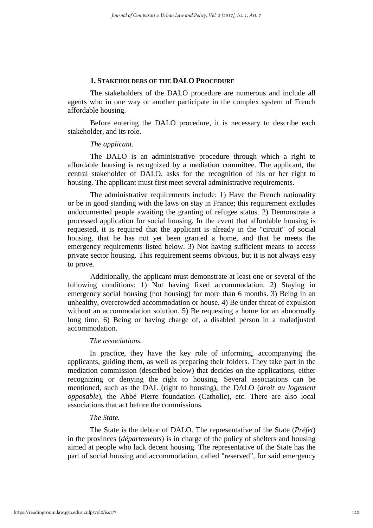#### **1. STAKEHOLDERS OF THE DALO PROCEDURE**

The stakeholders of the DALO procedure are numerous and include all agents who in one way or another participate in the complex system of French affordable housing.

Before entering the DALO procedure, it is necessary to describe each stakeholder, and its role.

#### *The applicant.*

The DALO is an administrative procedure through which a right to affordable housing is recognized by a mediation committee. The applicant, the central stakeholder of DALO, asks for the recognition of his or her right to housing. The applicant must first meet several administrative requirements.

The administrative requirements include: 1) Have the French nationality or be in good standing with the laws on stay in France; this requirement excludes undocumented people awaiting the granting of refugee status. 2) Demonstrate a processed application for social housing. In the event that affordable housing is requested, it is required that the applicant is already in the "circuit" of social housing, that he has not yet been granted a home, and that he meets the emergency requirements listed below. 3) Not having sufficient means to access private sector housing. This requirement seems obvious, but it is not always easy to prove.

Additionally, the applicant must demonstrate at least one or several of the following conditions: 1) Not having fixed accommodation. 2) Staying in emergency social housing (not housing) for more than 6 months. 3) Being in an unhealthy, overcrowded accommodation or house. 4) Be under threat of expulsion without an accommodation solution. 5) Be requesting a home for an abnormally long time. 6) Being or having charge of, a disabled person in a maladjusted accommodation.

#### *The associations.*

 In practice, they have the key role of informing, accompanying the applicants, guiding them, as well as preparing their folders. They take part in the mediation commission (described below) that decides on the applications, either recognizing or denying the right to housing. Several associations can be mentioned, such as the DAL (right to housing), the DALO (*droit au logement opposable*), the Abbé Pierre foundation (Catholic), etc. There are also local associations that act before the commissions.

#### *The State.*

 The State is the debtor of DALO. The representative of the State (*Préfet*) in the provinces (*départements*) is in charge of the policy of shelters and housing aimed at people who lack decent housing. The representative of the State has the part of social housing and accommodation, called "reserved", for said emergency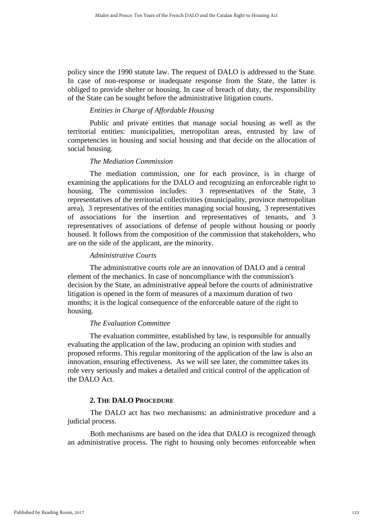policy since the 1990 statute law. The request of DALO is addressed to the State. In case of non-response or inadequate response from the State, the latter is obliged to provide shelter or housing. In case of breach of duty, the responsibility of the State can be sought before the administrative litigation courts.

## *Entities in Charge of Affordable Housing*

Public and private entities that manage social housing as well as the territorial entities: municipalities, metropolitan areas, entrusted by law of competencies in housing and social housing and that decide on the allocation of social housing.

## *The Mediation Commission*

The mediation commission, one for each province, is in charge of examining the applications for the DALO and recognizing an enforceable right to housing. The commission includes: 3 representatives of the State, 3 representatives of the territorial collectivities (municipality, province metropolitan area), 3 representatives of the entities managing social housing, 3 representatives of associations for the insertion and representatives of tenants, and 3 representatives of associations of defense of people without housing or poorly housed. It follows from the composition of the commission that stakeholders, who are on the side of the applicant, are the minority.

## *Administrative Courts*

The administrative courts role are an innovation of DALO and a central element of the mechanics. In case of noncompliance with the commission's decision by the State, an administrative appeal before the courts of administrative litigation is opened in the form of measures of a maximum duration of two months; it is the logical consequence of the enforceable nature of the right to housing.

## *The Evaluation Committee*

The evaluation committee, established by law, is responsible for annually evaluating the application of the law, producing an opinion with studies and proposed reforms. This regular monitoring of the application of the law is also an innovation, ensuring effectiveness. As we will see later, the committee takes its role very seriously and makes a detailed and critical control of the application of the DALO Act.

## **2. THE DALO PROCEDURE**

The DALO act has two mechanisms: an administrative procedure and a judicial process.

Both mechanisms are based on the idea that DALO is recognized through an administrative process. The right to housing only becomes enforceable when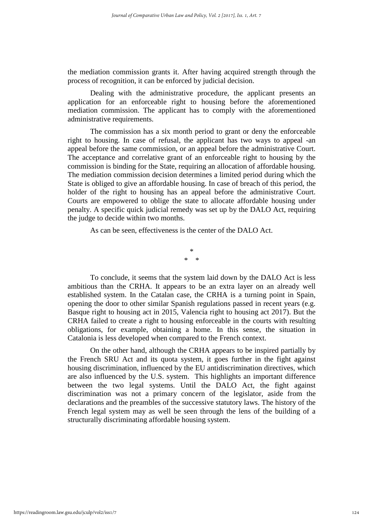the mediation commission grants it. After having acquired strength through the process of recognition, it can be enforced by judicial decision.

Dealing with the administrative procedure, the applicant presents an application for an enforceable right to housing before the aforementioned mediation commission. The applicant has to comply with the aforementioned administrative requirements.

The commission has a six month period to grant or deny the enforceable right to housing. In case of refusal, the applicant has two ways to appeal -an appeal before the same commission, or an appeal before the administrative Court. The acceptance and correlative grant of an enforceable right to housing by the commission is binding for the State, requiring an allocation of affordable housing. The mediation commission decision determines a limited period during which the State is obliged to give an affordable housing. In case of breach of this period, the holder of the right to housing has an appeal before the administrative Court. Courts are empowered to oblige the state to allocate affordable housing under penalty. A specific quick judicial remedy was set up by the DALO Act, requiring the judge to decide within two months.

As can be seen, effectiveness is the center of the DALO Act.

\* \* \*

To conclude, it seems that the system laid down by the DALO Act is less ambitious than the CRHA. It appears to be an extra layer on an already well established system. In the Catalan case, the CRHA is a turning point in Spain, opening the door to other similar Spanish regulations passed in recent years (e.g. Basque right to housing act in 2015, Valencia right to housing act 2017). But the CRHA failed to create a right to housing enforceable in the courts with resulting obligations, for example, obtaining a home. In this sense, the situation in Catalonia is less developed when compared to the French context.

On the other hand, although the CRHA appears to be inspired partially by the French SRU Act and its quota system, it goes further in the fight against housing discrimination, influenced by the EU antidiscrimination directives, which are also influenced by the U.S. system. This highlights an important difference between the two legal systems. Until the DALO Act, the fight against discrimination was not a primary concern of the legislator, aside from the declarations and the preambles of the successive statutory laws. The history of the French legal system may as well be seen through the lens of the building of a structurally discriminating affordable housing system.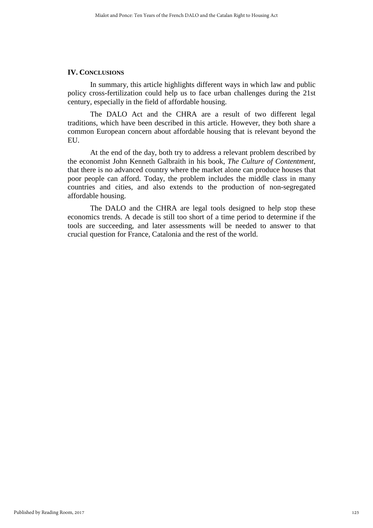## **IV. CONCLUSIONS**

In summary, this article highlights different ways in which law and public policy cross-fertilization could help us to face urban challenges during the 21st century, especially in the field of affordable housing.

The DALO Act and the CHRA are a result of two different legal traditions, which have been described in this article. However, they both share a common European concern about affordable housing that is relevant beyond the EU.

At the end of the day, both try to address a relevant problem described by the economist John Kenneth Galbraith in his book, *The Culture of Contentment,* that there is no advanced country where the market alone can produce houses that poor people can afford. Today, the problem includes the middle class in many countries and cities, and also extends to the production of non-segregated affordable housing.

The DALO and the CHRA are legal tools designed to help stop these economics trends. A decade is still too short of a time period to determine if the tools are succeeding, and later assessments will be needed to answer to that crucial question for France, Catalonia and the rest of the world.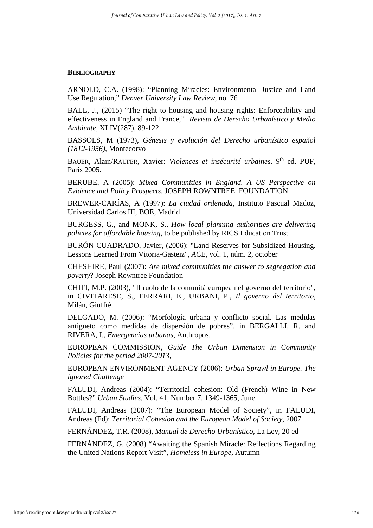#### **BIBLIOGRAPHY**

ARNOLD, C.A. (1998): "Planning Miracles: Environmental Justice and Land Use Regulation," *Denver University Law Review*, no. 76

BALL, J., (2015) "The right to housing and housing rights: Enforceability and effectiveness in England and France," *Revista de Derecho Urbanístico y Medio Ambiente*, XLIV(287), 89-122

BASSOLS, M (1973), *Génesis y evolución del Derecho urbanístico español (1812-1956)*, Montecorvo

BAUER, Alain/RAUFER, Xavier: *Violences et insécurité urbaines*. 9<sup>th</sup> ed. PUF, Paris 2005.

BERUBE, A (2005): *Mixed Communities in England. A US Perspective on Evidence and Policy Prospects*, JOSEPH ROWNTREE FOUNDATION

BREWER-CARÍAS, A (1997): *La ciudad ordenada*, Instituto Pascual Madoz, Universidad Carlos III, BOE, Madrid

BURGESS, G., and MONK, S., *How local planning authorities are delivering policies for affordable housing*, to be published by RICS Education Trust

BURÓN CUADRADO, Javier, (2006): "Land Reserves for Subsidized Housing. Lessons Learned From Vitoria-Gasteiz", *AC*E, vol. 1, núm. 2, october

CHESHIRE, Paul (2007): *Are mixed communities the answer to segregation and poverty*? Joseph Rowntree Foundation

CHITI, M.P. (2003), "Il ruolo de la comunità europea nel governo del territorio", in CIVITARESE, S., FERRARI, E., URBANI, P., *Il governo del territorio*, Milán, Giuffrè.

DELGADO, M. (2006): "Morfología urbana y conflicto social. Las medidas antigueto como medidas de dispersión de pobres", in BERGALLI, R. and RIVERA, I., *Emergencias urbanas*, Anthropos.

EUROPEAN COMMISSION, *Guide The Urban Dimension in Community Policies for the period 2007-2013*,

EUROPEAN ENVIRONMENT AGENCY (2006): *Urban Sprawl in Europe. The ignored Challenge*

FALUDI, Andreas (2004): "Territorial cohesion: Old (French) Wine in New Bottles?" *Urban Studies*, Vol. 41, Number 7, 1349-1365, June.

FALUDI, Andreas (2007): "The European Model of Society", in FALUDI, Andreas (Ed): *Territorial Cohesion and the European Model of Society*, 2007

FERNÁNDEZ, T.R. (2008), *Manual de Derecho Urbanístico*, La Ley, 20 ed

FERNÁNDEZ, G. (2008) "Awaiting the Spanish Miracle: Reflections Regarding the United Nations Report Visit", *Homeless in Europe*, Autumn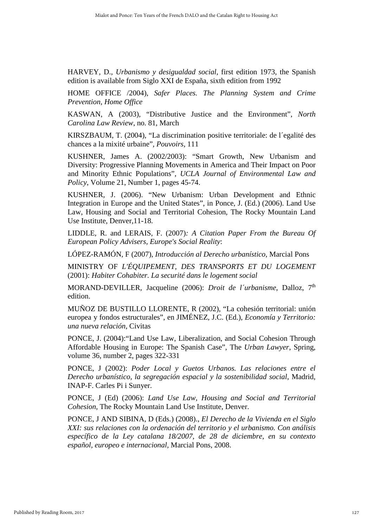HARVEY, D., *Urbanismo y desigualdad social*, first edition 1973, the Spanish edition is available from Siglo XXI de España, sixth edition from 1992

HOME OFFICE /2004), *Safer Places. The Planning System and Crime Prevention*, *Home Office*

KASWAN, A (2003), "Distributive Justice and the Environment", *North Carolina Law Review*, no. 81, March

KIRSZBAUM, T. (2004), "La discrimination positive territoriale: de l´egalité des chances a la mixité urbaine", *Pouvoirs*, 111

KUSHNER, James A. (2002/2003): "Smart Growth, New Urbanism and Diversity: Progressive Planning Movements in America and Their Impact on Poor and Minority Ethnic Populations", *UCLA Journal of Environmental Law and Policy*, Volume 21, Number 1, pages 45-74.

KUSHNER, J. (2006). "New Urbanism: Urban Development and Ethnic Integration in Europe and the United States", in Ponce, J. (Ed.) (2006). Land Use Law, Housing and Social and Territorial Cohesion, The Rocky Mountain Land Use Institute, Denver,11-18.

LIDDLE, R. and LERAIS, F. (2007)*: A Citation Paper From the Bureau Of European Policy Advisers, Europe's Social Reality*:

LÓPEZ-RAMÓN, F (2007), *Introducción al Derecho urbanístico*, Marcial Pons

MINISTRY OF *L'ÉQUIPEMENT, DES TRANSPORTS ET DU LOGEMENT*  (2001): *Habiter Cohabiter. La securité dans le logement social*

MORAND-DEVILLER, Jacqueline (2006): *Droit de l'urbanisme*, Dalloz, 7<sup>th</sup> edition.

MUÑOZ DE BUSTILLO LLORENTE, R (2002), "La cohesión territorial: unión europea y fondos estructurales", en JIMÉNEZ, J.C. (Ed.), *Economía y Territorio: una nueva relación*, Civitas

PONCE, J. (2004):"Land Use Law, Liberalization, and Social Cohesion Through Affordable Housing in Europe: The Spanish Case", The *Urban Lawyer*, Spring, volume 36, number 2, pages 322-331

PONCE, J (2002): *Poder Local y Guetos Urbanos. Las relaciones entre el Derecho urbanístico, la segregación espacial y la sostenibilidad social*, Madrid, INAP-F. Carles Pi i Sunyer.

PONCE, J (Ed) (2006): *Land Use Law, Housing and Social and Territorial Cohesion*, The Rocky Mountain Land Use Institute, Denver.

PONCE, J AND SIBINA, D (Eds.) (2008)., *El Derecho de la Vivienda en el Siglo XXI: sus relaciones con la ordenación del territorio y el urbanismo. Con análisis específico de la Ley catalana 18/2007, de 28 de diciembre, en su contexto español, europeo e internacional,* Marcial Pons, 2008.